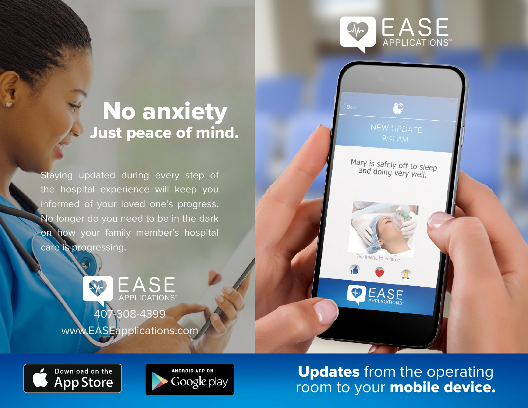



Staying updated during every step of the hospital experience will keep you informed of your loved one's progress. No longer do you need to be in the dark on how your family member's hospital care is progressing.

> **EASE** M APPLICATIONS 407-308-4399 www.EASEapplications.com







Updates from the operating room to your **mobile device.**